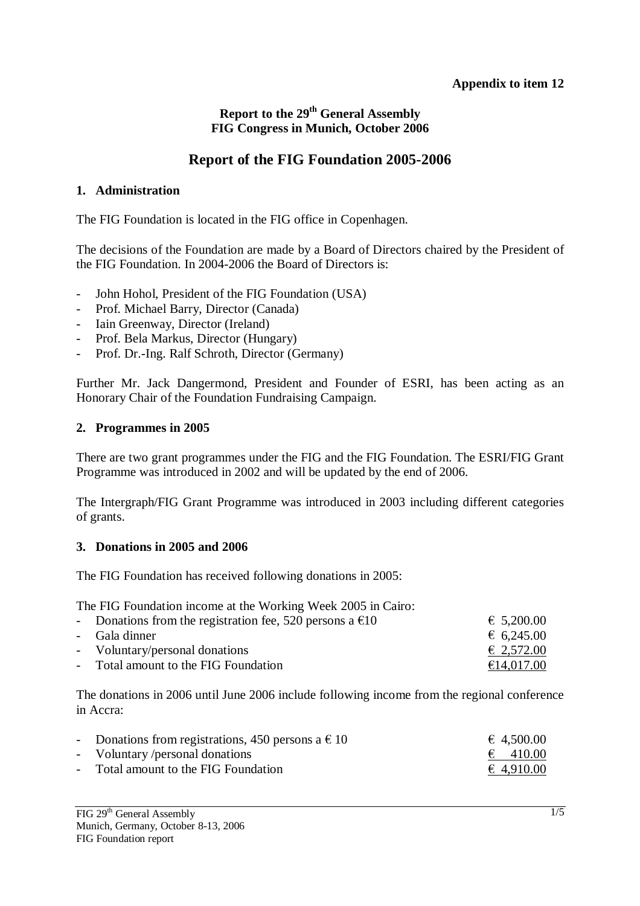## **Appendix to item 12**

# **Report to the 29<sup>th</sup> General Assembly FIG Congress in Munich, October 2006**

# **Report of the FIG Foundation 2005-2006**

## **1. Administration**

The FIG Foundation is located in the FIG office in Copenhagen.

The decisions of the Foundation are made by a Board of Directors chaired by the President of the FIG Foundation. In 2004-2006 the Board of Directors is:

- John Hohol, President of the FIG Foundation (USA)
- Prof. Michael Barry, Director (Canada)
- Iain Greenway, Director (Ireland)
- Prof. Bela Markus, Director (Hungary)
- Prof. Dr.-Ing. Ralf Schroth, Director (Germany)

Further Mr. Jack Dangermond, President and Founder of ESRI, has been acting as an Honorary Chair of the Foundation Fundraising Campaign.

## **2. Programmes in 2005**

There are two grant programmes under the FIG and the FIG Foundation. The ESRI/FIG Grant Programme was introduced in 2002 and will be updated by the end of 2006.

The Intergraph/FIG Grant Programme was introduced in 2003 including different categories of grants.

#### **3. Donations in 2005 and 2006**

The FIG Foundation has received following donations in 2005:

The FIG Foundation income at the Working Week 2005 in Cairo:

| - Donations from the registration fee, 520 persons a $\epsilon$ 10 | € 5,200.00          |
|--------------------------------------------------------------------|---------------------|
| - Gala dinner                                                      | 6,245.00            |
| - Voluntary/personal donations                                     | $\epsilon$ 2,572.00 |
| - Total amount to the FIG Foundation                               | €14,017.00          |

The donations in 2006 until June 2006 include following income from the regional conference in Accra:

| - Donations from registrations, 450 persons a $\in$ 10 | € 4,500.00        |
|--------------------------------------------------------|-------------------|
| - Voluntary/personal donations                         | $\epsilon$ 410.00 |
| - Total amount to the FIG Foundation                   | € 4,910.00        |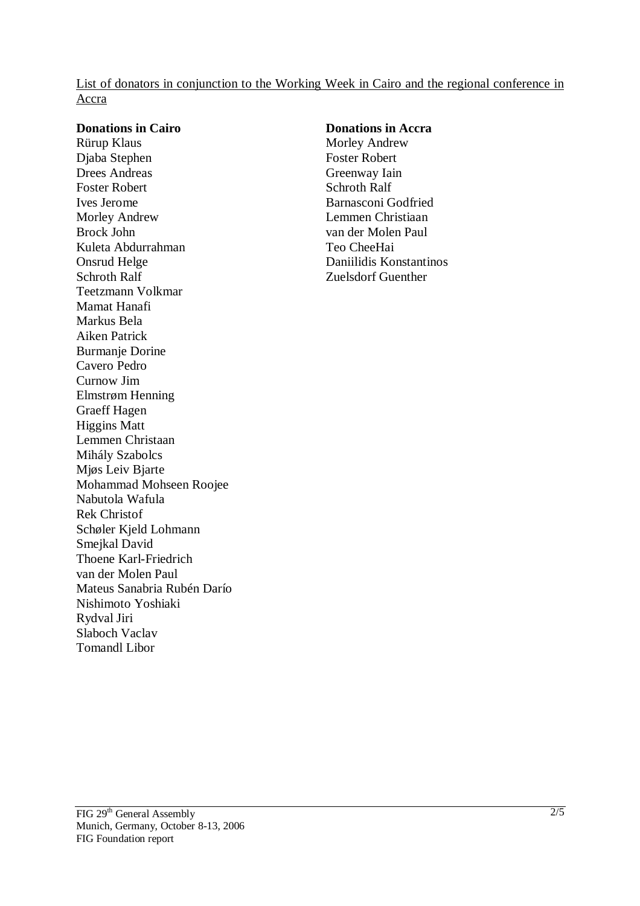List of donators in conjunction to the Working Week in Cairo and the regional conference in Accra

#### **Donations in Cairo**

Rürup Klaus Djaba Stephen Drees Andreas Foster Robert Ives Jerome Morley Andrew Brock John Kuleta Abdurrahman Onsrud Helge Schroth Ralf Teetzmann Volkmar Mamat Hanafi Markus Bela Aiken Patrick Burmanje Dorine Cavero Pedro Curnow Jim Elmstrøm Henning Graeff Hagen Higgins Matt Lemmen Christaan Mihály Szabolcs Mjøs Leiv Bjarte Mohammad Mohseen Roojee Nabutola Wafula Rek Christof Schøler Kjeld Lohmann Smejkal David Thoene Karl-Friedrich van der Molen Paul Mateus Sanabria Rubén Darío Nishimoto Yoshiaki Rydval Jiri Slaboch Vaclav Tomandl Libor

#### **Donations in Accra**  Morley Andrew Foster Robert Greenway Iain Schroth Ralf Barnasconi Godfried Lemmen Christiaan van der Molen Paul Teo CheeHai Daniilidis Konstantinos Zuelsdorf Guenther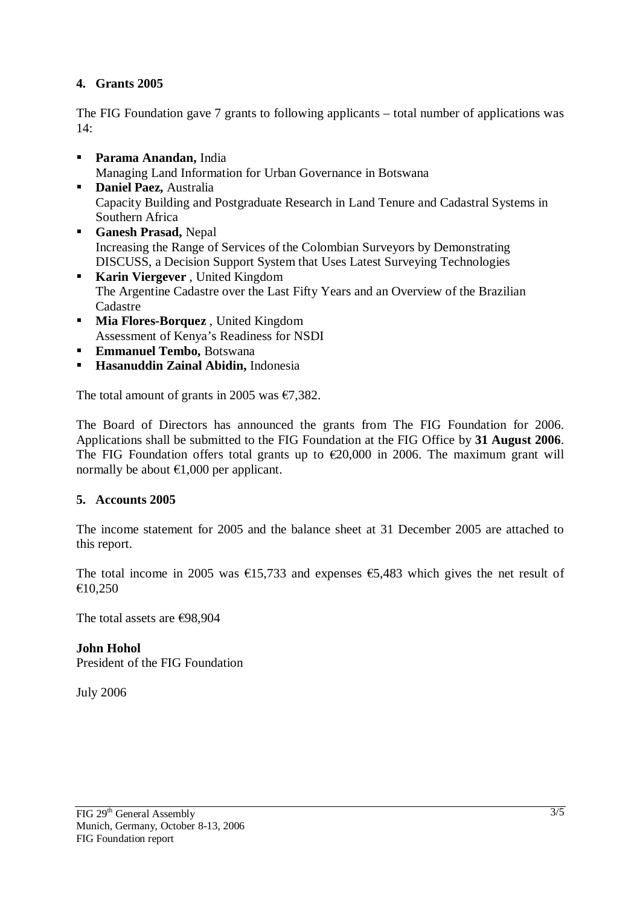# **4. Grants 2005**

The FIG Foundation gave 7 grants to following applicants – total number of applications was  $14.$ 

- **Parama Anandan,** India Managing Land Information for Urban Governance in Botswana
- **Daniel Paez, Australia** Capacity Building and Postgraduate Research in Land Tenure and Cadastral Systems in Southern Africa
- **Ganesh Prasad,** Nepal Increasing the Range of Services of the Colombian Surveyors by Demonstrating DISCUSS, a Decision Support System that Uses Latest Surveying Technologies
- **Karin Viergever**, United Kingdom The Argentine Cadastre over the Last Fifty Years and an Overview of the Brazilian Cadastre
- **Mia Flores-Borquez** , United Kingdom Assessment of Kenya's Readiness for NSDI
- **Emmanuel Tembo, Botswana**
- **Hasanuddin Zainal Abidin,** Indonesia

The total amount of grants in 2005 was  $\epsilon$ 7.382.

The Board of Directors has announced the grants from The FIG Foundation for 2006. Applications shall be submitted to the FIG Foundation at the FIG Office by **31 August 2006**. The FIG Foundation offers total grants up to  $\epsilon$ 20,000 in 2006. The maximum grant will normally be about  $\epsilon$ 1,000 per applicant.

## **5. Accounts 2005**

The income statement for 2005 and the balance sheet at 31 December 2005 are attached to this report.

The total income in 2005 was  $\epsilon$ 15,733 and expenses  $\epsilon$ 5,483 which gives the net result of €10,250

The total assets are €98,904

**John Hohol**  President of the FIG Foundation

July 2006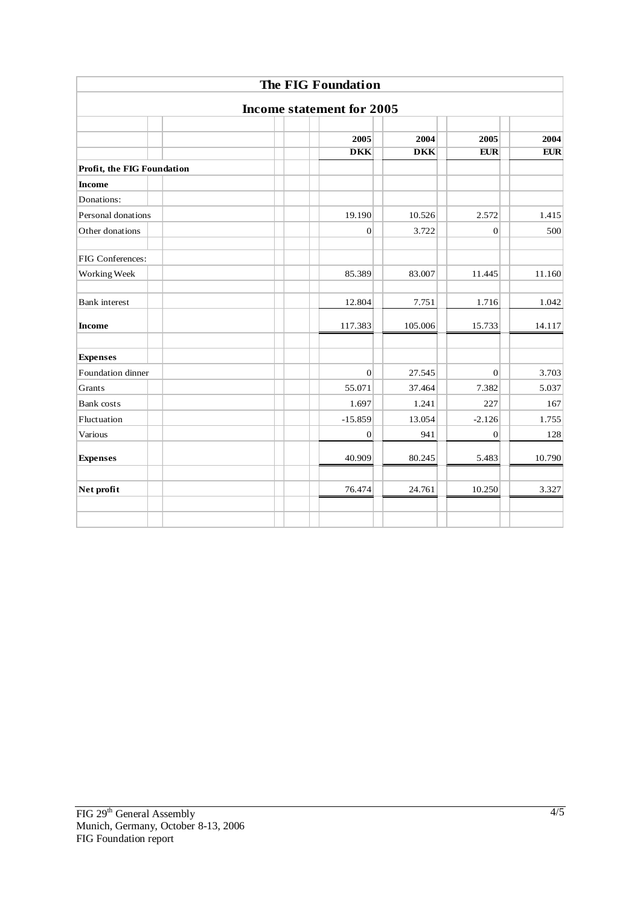|                                  |  | The FIG Foundation |            |                |            |  |
|----------------------------------|--|--------------------|------------|----------------|------------|--|
| <b>Income statement for 2005</b> |  |                    |            |                |            |  |
|                                  |  |                    |            |                |            |  |
|                                  |  | 2005               | 2004       | 2005           | 2004       |  |
|                                  |  | <b>DKK</b>         | <b>DKK</b> | <b>EUR</b>     | <b>EUR</b> |  |
| Profit, the FIG Foundation       |  |                    |            |                |            |  |
| <b>Income</b>                    |  |                    |            |                |            |  |
| Donations:                       |  |                    |            |                |            |  |
| Personal donations               |  | 19.190             | 10.526     | 2.572          | 1.415      |  |
| Other donations                  |  | $\boldsymbol{0}$   | 3.722      | $\overline{0}$ | 500        |  |
| FIG Conferences:                 |  |                    |            |                |            |  |
| Working Week                     |  | 85.389             | 83.007     | 11.445         | 11.160     |  |
| <b>Bank</b> interest             |  | 12.804             | 7.751      | 1.716          | 1.042      |  |
| <b>Income</b>                    |  | 117.383            | 105.006    | 15.733         | 14.117     |  |
| <b>Expenses</b>                  |  |                    |            |                |            |  |
| Foundation dinner                |  | $\mathbf{0}$       | 27.545     | $\mathbf{0}$   | 3.703      |  |
| Grants                           |  | 55.071             | 37.464     | 7.382          | 5.037      |  |
| <b>Bank</b> costs                |  | 1.697              | 1.241      | 227            | 167        |  |
| Fluctuation                      |  | $-15.859$          | 13.054     | $-2.126$       | 1.755      |  |
| Various                          |  | $\boldsymbol{0}$   | 941        | $\mathbf{0}$   | 128        |  |
| <b>Expenses</b>                  |  | 40.909             | 80.245     | 5.483          | 10.790     |  |
| Net profit                       |  | 76.474             | 24.761     | 10.250         | 3.327      |  |
|                                  |  |                    |            |                |            |  |